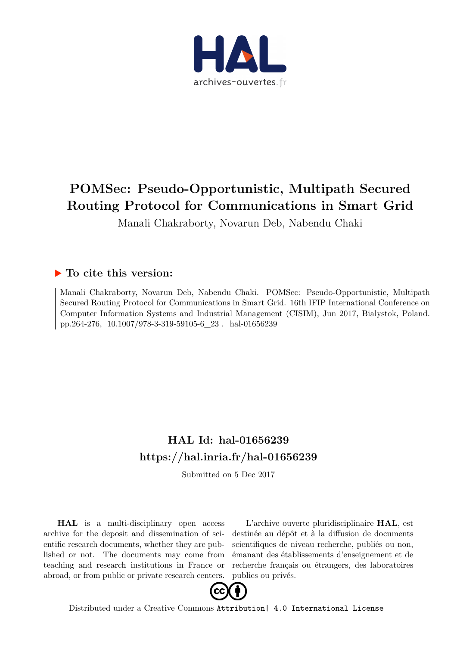

# **POMSec: Pseudo-Opportunistic, Multipath Secured Routing Protocol for Communications in Smart Grid**

Manali Chakraborty, Novarun Deb, Nabendu Chaki

# **To cite this version:**

Manali Chakraborty, Novarun Deb, Nabendu Chaki. POMSec: Pseudo-Opportunistic, Multipath Secured Routing Protocol for Communications in Smart Grid. 16th IFIP International Conference on Computer Information Systems and Industrial Management (CISIM), Jun 2017, Bialystok, Poland. pp.264-276, 10.1007/978-3-319-59105-6\_23 hal-01656239

# **HAL Id: hal-01656239 <https://hal.inria.fr/hal-01656239>**

Submitted on 5 Dec 2017

**HAL** is a multi-disciplinary open access archive for the deposit and dissemination of scientific research documents, whether they are published or not. The documents may come from teaching and research institutions in France or abroad, or from public or private research centers.

L'archive ouverte pluridisciplinaire **HAL**, est destinée au dépôt et à la diffusion de documents scientifiques de niveau recherche, publiés ou non, émanant des établissements d'enseignement et de recherche français ou étrangers, des laboratoires publics ou privés.



Distributed under a Creative Commons [Attribution| 4.0 International License](http://creativecommons.org/licenses/by/4.0/)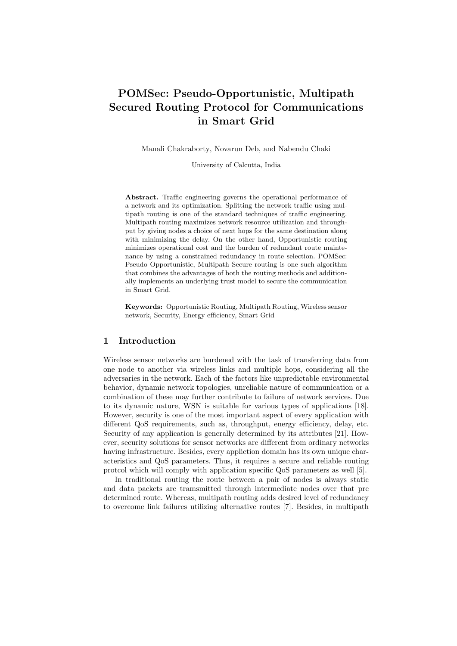# POMSec: Pseudo-Opportunistic, Multipath Secured Routing Protocol for Communications in Smart Grid

Manali Chakraborty, Novarun Deb, and Nabendu Chaki

University of Calcutta, India

Abstract. Traffic engineering governs the operational performance of a network and its optimization. Splitting the network traffic using multipath routing is one of the standard techniques of traffic engineering. Multipath routing maximizes network resource utilization and throughput by giving nodes a choice of next hops for the same destination along with minimizing the delay. On the other hand, Opportunistic routing minimizes operational cost and the burden of redundant route maintenance by using a constrained redundancy in route selection. POMSec: Pseudo Opportunistic, Multipath Secure routing is one such algorithm that combines the advantages of both the routing methods and additionally implements an underlying trust model to secure the communication in Smart Grid.

Keywords: Opportunistic Routing, Multipath Routing, Wireless sensor network, Security, Energy efficiency, Smart Grid

# 1 Introduction

Wireless sensor networks are burdened with the task of transferring data from one node to another via wireless links and multiple hops, considering all the adversaries in the network. Each of the factors like unpredictable environmental behavior, dynamic network topologies, unreliable nature of communication or a combination of these may further contribute to failure of network services. Due to its dynamic nature, WSN is suitable for various types of applications [18]. However, security is one of the most important aspect of every application with different QoS requirements, such as, throughput, energy efficiency, delay, etc. Security of any application is generally determined by its attributes [21]. However, security solutions for sensor networks are different from ordinary networks having infrastructure. Besides, every appliction domain has its own unique characteristics and QoS parameters. Thus, it requires a secure and reliable routing protcol which will comply with application specific QoS parameters as well [5].

In traditional routing the route between a pair of nodes is always static and data packets are tramsmitted through intermediate nodes over that pre determined route. Whereas, multipath routing adds desired level of redundancy to overcome link failures utilizing alternative routes [7]. Besides, in multipath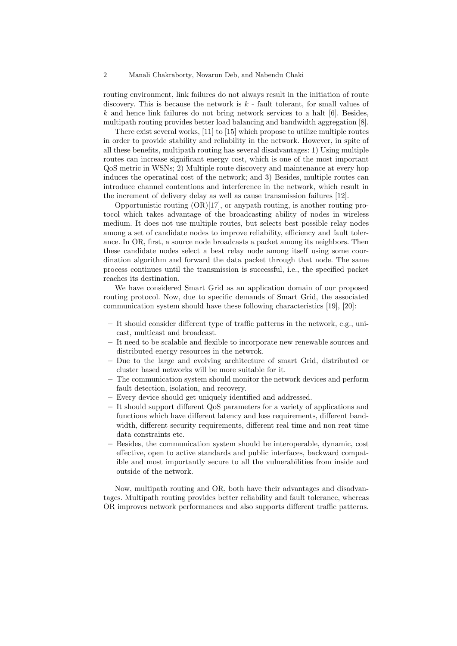routing environment, link failures do not always result in the initiation of route discovery. This is because the network is  $k$  - fault tolerant, for small values of  $k$  and hence link failures do not bring network services to a halt  $[6]$ . Besides, multipath routing provides better load balancing and bandwidth aggregation [8].

There exist several works, [11] to [15] which propose to utilize multiple routes in order to provide stability and reliability in the network. However, in spite of all these benefits, multipath routing has several disadvantages: 1) Using multiple routes can increase significant energy cost, which is one of the most important QoS metric in WSNs; 2) Multiple route discovery and maintenance at every hop induces the operatinal cost of the network; and 3) Besides, multiple routes can introduce channel contentions and interference in the network, which result in the increment of delivery delay as well as cause transmission failures [12].

Opportunistic routing (OR)[17], or anypath routing, is another routing protocol which takes advantage of the broadcasting ability of nodes in wireless medium. It does not use multiple routes, but selects best possible relay nodes among a set of candidate nodes to improve reliability, efficiency and fault tolerance. In OR, first, a source node broadcasts a packet among its neighbors. Then these candidate nodes select a best relay node among itself using some coordination algorithm and forward the data packet through that node. The same process continues until the transmission is successful, i.e., the specified packet reaches its destination.

We have considered Smart Grid as an application domain of our proposed routing protocol. Now, due to specific demands of Smart Grid, the associated communication system should have these following characteristics [19], [20]:

- It should consider different type of traffic patterns in the network, e.g., unicast, multicast and broadcast.
- It need to be scalable and flexible to incorporate new renewable sources and distributed energy resources in the netwrok.
- Due to the large and evolving architecture of smart Grid, distributed or cluster based networks will be more suitable for it.
- The communication system should monitor the network devices and perform fault detection, isolation, and recovery.
- Every device should get uniquely identified and addressed.
- It should support different QoS parameters for a variety of applications and functions which have different latency and loss requirements, different bandwidth, different security requirements, different real time and non reat time data constraints etc.
- Besides, the communication system should be interoperable, dynamic, cost effective, open to active standards and public interfaces, backward compatible and most importantly secure to all the vulnerabilities from inside and outside of the network.

Now, multipath routing and OR, both have their advantages and disadvantages. Multipath routing provides better reliability and fault tolerance, whereas OR improves network performances and also supports different traffic patterns.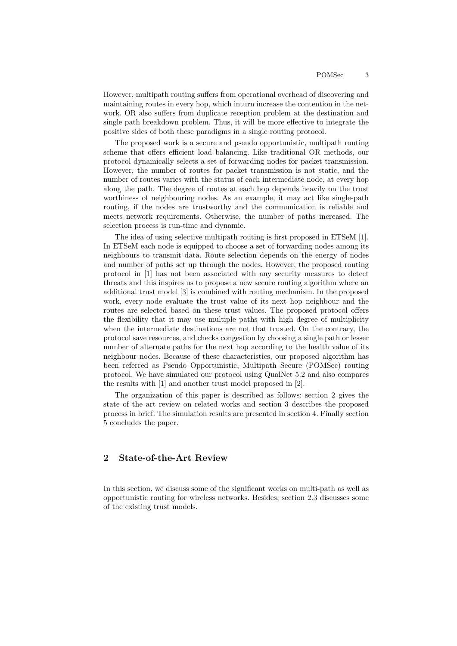However, multipath routing suffers from operational overhead of discovering and maintaining routes in every hop, which inturn increase the contention in the network. OR also suffers from duplicate reception problem at the destination and single path breakdown problem. Thus, it will be more effective to integrate the positive sides of both these paradigms in a single routing protocol.

The proposed work is a secure and pseudo opportunistic, multipath routing scheme that offers efficient load balancing. Like traditional OR methods, our protocol dynamically selects a set of forwarding nodes for packet transmission. However, the number of routes for packet transmission is not static, and the number of routes varies with the status of each intermediate node, at every hop along the path. The degree of routes at each hop depends heavily on the trust worthiness of neighbouring nodes. As an example, it may act like single-path routing, if the nodes are trustworthy and the communication is reliable and meets network requirements. Otherwise, the number of paths increased. The selection process is run-time and dynamic.

The idea of using selective multipath routing is first proposed in ETSeM [1]. In ETSeM each node is equipped to choose a set of forwarding nodes among its neighbours to transmit data. Route selection depends on the energy of nodes and number of paths set up through the nodes. However, the proposed routing protocol in [1] has not been associated with any security measures to detect threats and this inspires us to propose a new secure routing algorithm where an additional trust model [3] is combined with routing mechanism. In the proposed work, every node evaluate the trust value of its next hop neighbour and the routes are selected based on these trust values. The proposed protocol offers the flexibility that it may use multiple paths with high degree of multiplicity when the intermediate destinations are not that trusted. On the contrary, the protocol save resources, and checks congestion by choosing a single path or lesser number of alternate paths for the next hop according to the health value of its neighbour nodes. Because of these characteristics, our proposed algorithm has been referred as Pseudo Opportunistic, Multipath Secure (POMSec) routing protocol. We have simulated our protocol using QualNet 5.2 and also compares the results with [1] and another trust model proposed in [2].

The organization of this paper is described as follows: section 2 gives the state of the art review on related works and section 3 describes the proposed process in brief. The simulation results are presented in section 4. Finally section 5 concludes the paper.

# 2 State-of-the-Art Review

In this section, we discuss some of the significant works on multi-path as well as opportunistic routing for wireless networks. Besides, section 2.3 discusses some of the existing trust models.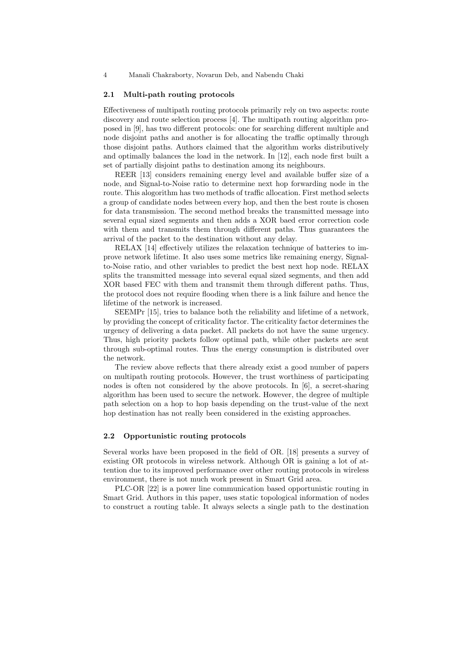4 Manali Chakraborty, Novarun Deb, and Nabendu Chaki

### 2.1 Multi-path routing protocols

Effectiveness of multipath routing protocols primarily rely on two aspects: route discovery and route selection process [4]. The multipath routing algorithm proposed in [9], has two different protocols: one for searching different multiple and node disjoint paths and another is for allocating the traffic optimally through those disjoint paths. Authors claimed that the algorithm works distributively and optimally balances the load in the network. In [12], each node first built a set of partially disjoint paths to destination among its neighbours.

REER [13] considers remaining energy level and available buffer size of a node, and Signal-to-Noise ratio to determine next hop forwarding node in the route. This alogorithm has two methods of traffic allocation. First method selects a group of candidate nodes between every hop, and then the best route is chosen for data transmission. The second method breaks the transmitted message into several equal sized segments and then adds a XOR baed error correction code with them and transmits them through different paths. Thus guarantees the arrival of the packet to the destination without any delay.

RELAX [14] effectively utilizes the relaxation technique of batteries to improve network lifetime. It also uses some metrics like remaining energy, Signalto-Noise ratio, and other variables to predict the best next hop node. RELAX splits the transmitted message into several equal sized segments, and then add XOR based FEC with them and transmit them through different paths. Thus, the protocol does not require flooding when there is a link failure and hence the lifetime of the network is increased.

SEEMPr [15], tries to balance both the reliability and lifetime of a network, by providing the concept of criticality factor. The criticality factor determines the urgency of delivering a data packet. All packets do not have the same urgency. Thus, high priority packets follow optimal path, while other packets are sent through sub-optimal routes. Thus the energy consumption is distributed over the network.

The review above reflects that there already exist a good number of papers on multipath routing protocols. However, the trust worthiness of participating nodes is often not considered by the above protocols. In [6], a secret-sharing algorithm has been used to secure the network. However, the degree of multiple path selection on a hop to hop basis depending on the trust-value of the next hop destination has not really been considered in the existing approaches.

#### 2.2 Opportunistic routing protocols

Several works have been proposed in the field of OR. [18] presents a survey of existing OR protocols in wireless network. Although OR is gaining a lot of attention due to its improved performance over other routing protocols in wireless environment, there is not much work present in Smart Grid area.

PLC-OR [22] is a power line communication based opportunistic routing in Smart Grid. Authors in this paper, uses static topological information of nodes to construct a routing table. It always selects a single path to the destination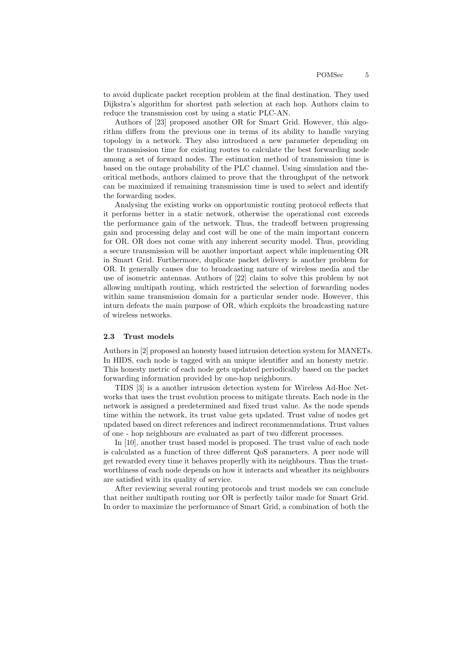to avoid duplicate packet reception problem at the final destination. They used Dijkstra's algorithm for shortest path selection at each hop. Authors claim to reduce the transmission cost by using a static PLC-AN.

Authors of [23] proposed another OR for Smart Grid. However, this algorithm differs from the previous one in terms of its ability to handle varying topology in a network. They also introduced a new parameter depending on the transmission time for existing routes to calculate the best forwarding node among a set of forward nodes. The estimation method of transmission time is based on the outage probability of the PLC channel. Using simulation and theoritical methods, authors claimed to prove that the throughput of the network can be maximized if remaining transmission time is used to select and identify the forwarding nodes.

Analysing the existing works on opportunistic routing protocol reflects that it performs better in a static network, otherwise the operational cost exceeds the performance gain of the network. Thus, the tradeoff between progressing gain and processing delay and cost will be one of the main important concern for OR. OR does not come with any inherent security model. Thus, providing a secure transmission will be another important aspect while implementing OR in Smart Grid. Furthermore, duplicate packet delivery is another problem for OR. It generally causes due to broadcasting nature of wireless media and the use of isometric antennas. Authors of [22] claim to solve this problem by not allowing multipath routing, which restricted the selection of forwarding nodes within same transmission domain for a particular sender node. However, this inturn defeats the main purpose of OR, which exploits the broadcasting nature of wireless networks.

#### 2.3 Trust models

Authors in [2] proposed an honesty based intrusion detection system for MANETs. In HIDS, each node is tagged with an unique identifier and an honesty metric. This honesty metric of each node gets updated periodically based on the packet forwarding information provided by one-hop neighbours.

TIDS [3] is a another intrusion detection system for Wireless Ad-Hoc Networks that uses the trust evolution process to mitigate threats. Each node in the network is assigned a predetermined and fixed trust value. As the node spends time within the network, its trust value gets updated. Trust value of nodes get updated based on direct references and indirect recommenmdations. Trust values of one - hop neighbours are evaluated as part of two different processes.

In [10], another trust based model is proposed. The trust value of each node is calculated as a function of three different QoS parameters. A peer node will get rewarded every time it behaves properlly with its neighbours. Thus the trustworthiness of each node depends on how it interacts and wheather its neighbours are satisfied with its quality of service.

After reviewing several routing protocols and trust models we can conclude that neither multipath routing nor OR is perfectly tailor made for Smart Grid. In order to maximize the performance of Smart Grid, a combination of both the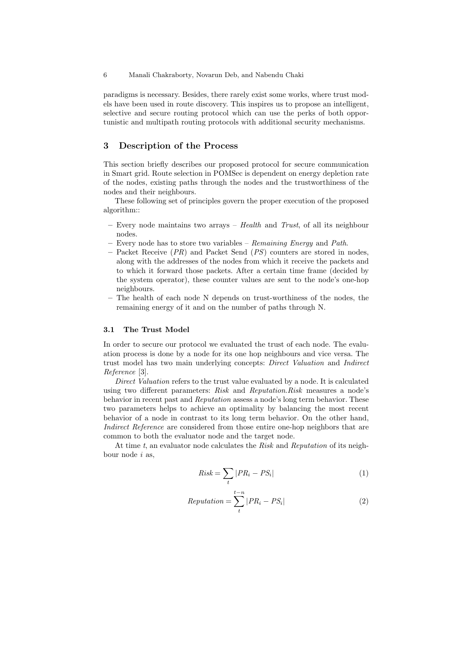paradigms is necessary. Besides, there rarely exist some works, where trust models have been used in route discovery. This inspires us to propose an intelligent, selective and secure routing protocol which can use the perks of both opportunistic and multipath routing protocols with additional security mechanisms.

# 3 Description of the Process

This section briefly describes our proposed protocol for secure communication in Smart grid. Route selection in POMSec is dependent on energy depletion rate of the nodes, existing paths through the nodes and the trustworthiness of the nodes and their neighbours.

These following set of principles govern the proper execution of the proposed algorithm::

- Every node maintains two arrays Health and Trust, of all its neighbour nodes.
- Every node has to store two variables Remaining Energy and Path.
- Packet Receive  $(PR)$  and Packet Send  $(PS)$  counters are stored in nodes, along with the addresses of the nodes from which it receive the packets and to which it forward those packets. After a certain time frame (decided by the system operator), these counter values are sent to the node's one-hop neighbours.
- The health of each node N depends on trust-worthiness of the nodes, the remaining energy of it and on the number of paths through N.

#### 3.1 The Trust Model

In order to secure our protocol we evaluated the trust of each node. The evaluation process is done by a node for its one hop neighbours and vice versa. The trust model has two main underlying concepts: Direct Valuation and Indirect Reference [3].

Direct Valuation refers to the trust value evaluated by a node. It is calculated using two different parameters: Risk and Reputation.Risk measures a node's behavior in recent past and Reputation assess a node's long term behavior. These two parameters helps to achieve an optimality by balancing the most recent behavior of a node in contrast to its long term behavior. On the other hand, Indirect Reference are considered from those entire one-hop neighbors that are common to both the evaluator node and the target node.

At time t, an evaluator node calculates the Risk and Reputation of its neighbour node i as,

$$
Risk = \sum_{t} |PR_i - PS_i| \tag{1}
$$

$$
Reputation = \sum_{t}^{t-n} |PR_i - PS_i|
$$
\n(2)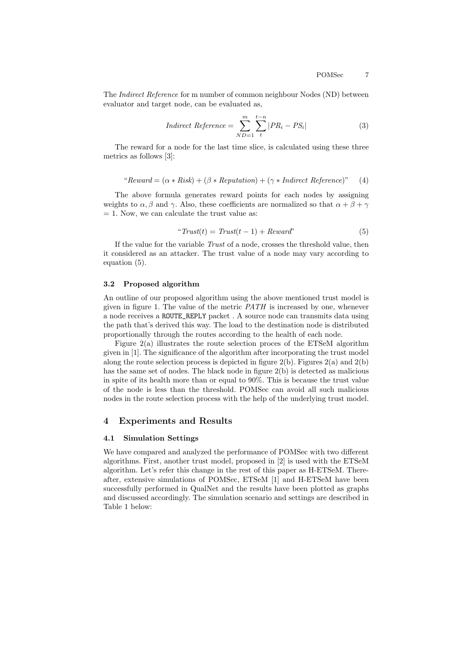The Indirect Reference for m number of common neighbour Nodes (ND) between evaluator and target node, can be evaluated as,

$$
Indirect Reference = \sum_{ND=1}^{m} \sum_{t}^{t-n} |PR_i - PS_i| \tag{3}
$$

The reward for a node for the last time slice, is calculated using these three metrics as follows [3]:

"
$$
"Reward = (\alpha * Risk) + (\beta * Reputation) + (\gamma * Indirect Reference)"
$$
 (4)

The above formula generates reward points for each nodes by assigning weights to  $\alpha$ ,  $\beta$  and  $\gamma$ . Also, these coefficients are normalized so that  $\alpha + \beta + \gamma$  $= 1.$  Now, we can calculate the trust value as:

$$
"Trust(t) = Trust(t - 1) + Reward" \tag{5}
$$

If the value for the variable Trust of a node, crosses the threshold value, then it considered as an attacker. The trust value of a node may vary according to equation (5).

#### 3.2 Proposed algorithm

An outline of our proposed algorithm using the above mentioned trust model is given in figure 1. The value of the metric  $PATH$  is increased by one, whenever a node receives a ROUTE\_REPLY packet . A source node can transmits data using the path that's derived this way. The load to the destination node is distributed proportionally through the routes according to the health of each node.

Figure 2(a) illustrates the route selection proces of the ETSeM algorithm given in [1]. The significance of the algorithm after incorporating the trust model along the route selection process is depicted in figure  $2(b)$ . Figures  $2(a)$  and  $2(b)$ has the same set of nodes. The black node in figure 2(b) is detected as malicious in spite of its health more than or equal to 90%. This is because the trust value of the node is less than the threshold. POMSec can avoid all such malicious nodes in the route selection process with the help of the underlying trust model.

#### 4 Experiments and Results

#### 4.1 Simulation Settings

We have compared and analyzed the performance of POMSec with two different algorithms. First, another trust model, proposed in [2] is used with the ETSeM algorithm. Let's refer this change in the rest of this paper as H-ETSeM. Thereafter, extensive simulations of POMSec, ETSeM [1] and H-ETSeM have been successfully performed in QualNet and the results have been plotted as graphs and discussed accordingly. The simulation scenario and settings are described in Table 1 below: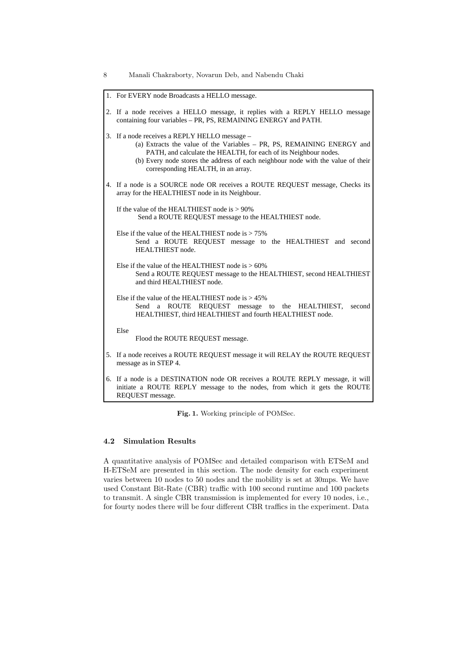| 1. For EVERY node Broadcasts a HELLO message.                                                                                                                                                                                                                                                                         |  |
|-----------------------------------------------------------------------------------------------------------------------------------------------------------------------------------------------------------------------------------------------------------------------------------------------------------------------|--|
| 2. If a node receives a HELLO message, it replies with a REPLY HELLO message<br>containing four variables - PR, PS, REMAINING ENERGY and PATH.                                                                                                                                                                        |  |
| 3. If a node receives a REPLY HELLO message -<br>(a) Extracts the value of the Variables - PR, PS, REMAINING ENERGY and<br>PATH, and calculate the HEALTH, for each of its Neighbour nodes.<br>(b) Every node stores the address of each neighbour node with the value of their<br>corresponding HEALTH, in an array. |  |
| 4. If a node is a SOURCE node OR receives a ROUTE REQUEST message, Checks its<br>array for the HEALTHIEST node in its Neighbour.                                                                                                                                                                                      |  |
| If the value of the HEALTHIEST node is $> 90\%$<br>Send a ROUTE REQUEST message to the HEALTHIEST node.                                                                                                                                                                                                               |  |
| Else if the value of the HEALTHIEST node is $> 75\%$<br>Send a ROUTE REQUEST message to the HEALTHIEST and second<br>HEALTHIEST node.                                                                                                                                                                                 |  |
| Else if the value of the HEALTHIEST node is $> 60\%$<br>Send a ROUTE REQUEST message to the HEALTHIEST, second HEALTHIEST<br>and third HEALTHIEST node.                                                                                                                                                               |  |
| Else if the value of the HEALTHIEST node is > 45%<br>a ROUTE REQUEST message to the HEALTHIEST,<br>Send<br>second<br>HEALTHIEST, third HEALTHIEST and fourth HEALTHIEST node.                                                                                                                                         |  |
| Else<br>Flood the ROUTE REQUEST message.                                                                                                                                                                                                                                                                              |  |
| 5. If a node receives a ROUTE REQUEST message it will RELAY the ROUTE REQUEST<br>message as in STEP 4.                                                                                                                                                                                                                |  |
| 6. If a node is a DESTINATION node OR receives a ROUTE REPLY message, it will<br>initiate a ROUTE REPLY message to the nodes, from which it gets the ROUTE<br>REQUEST message.                                                                                                                                        |  |

Fig. 1. Working principle of POMSec.

## 4.2 Simulation Results

A quantitative analysis of POMSec and detailed comparison with ETSeM and H-ETSeM are presented in this section. The node density for each experiment varies between 10 nodes to 50 nodes and the mobility is set at 30mps. We have used Constant Bit-Rate (CBR) traffic with 100 second runtime and 100 packets to transmit. A single CBR transmission is implemented for every 10 nodes, i.e., for fourty nodes there will be four different CBR traffics in the experiment. Data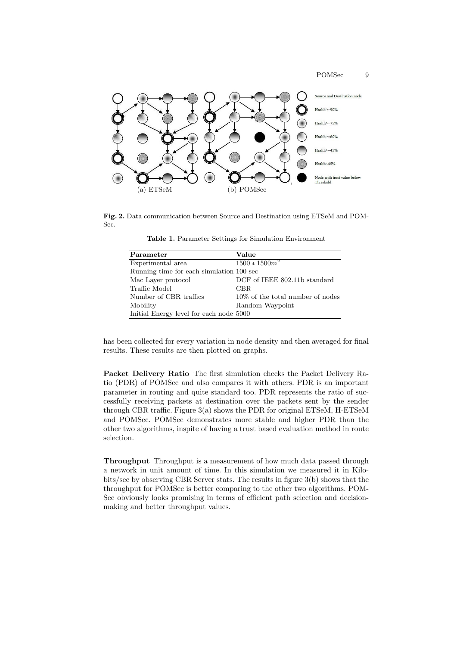

Fig. 2. Data communication between Source and Destination using ETSeM and POM-Sec.

Table 1. Parameter Settings for Simulation Environment

| Parameter                                | Value                               |
|------------------------------------------|-------------------------------------|
| Experimental area                        | $1500 * 1500 m^2$                   |
| Running time for each simulation 100 sec |                                     |
| Mac Layer protocol                       | DCF of IEEE 802.11b standard        |
| Traffic Model                            | CBR.                                |
| Number of CBR traffics                   | $10\%$ of the total number of nodes |
| Mobility                                 | Random Waypoint                     |
| Initial Energy level for each node 5000  |                                     |

has been collected for every variation in node density and then averaged for final results. These results are then plotted on graphs.

Packet Delivery Ratio The first simulation checks the Packet Delivery Ratio (PDR) of POMSec and also compares it with others. PDR is an important parameter in routing and quite standard too. PDR represents the ratio of successfully receiving packets at destination over the packets sent by the sender through CBR traffic. Figure 3(a) shows the PDR for original ETSeM, H-ETSeM and POMSec. POMSec demonstrates more stable and higher PDR than the other two algorithms, inspite of having a trust based evaluation method in route selection.

Throughput Throughput is a measurement of how much data passed through a network in unit amount of time. In this simulation we measured it in Kilobits/sec by observing CBR Server stats. The results in figure 3(b) shows that the throughput for POMSec is better comparing to the other two algorithms. POM-Sec obviously looks promising in terms of efficient path selection and decisionmaking and better throughput values.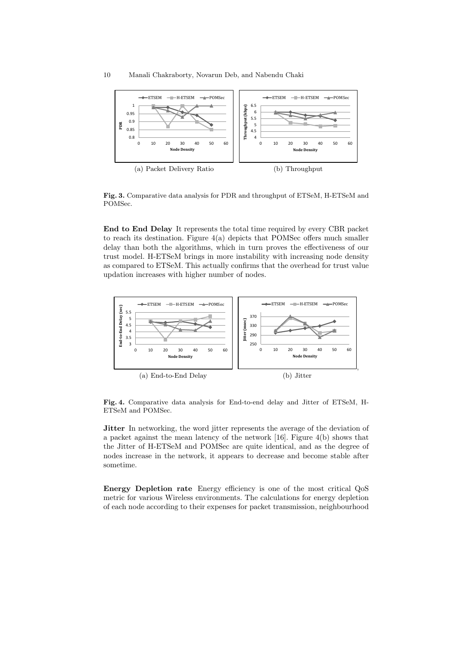

Fig. 3. Comparative data analysis for PDR and throughput of ETSeM, H-ETSeM and POMSec.

End to End Delay It represents the total time required by every CBR packet to reach its destination. Figure 4(a) depicts that POMSec offers much smaller delay than both the algorithms, which in turn proves the effectiveness of our trust model. H-ETSeM brings in more instability with increasing node density as compared to ETSeM. This actually confirms that the overhead for trust value updation increases with higher number of nodes.



Fig. 4. Comparative data analysis for End-to-end delay and Jitter of ETSeM, H-ETSeM and POMSec.

Jitter In networking, the word jitter represents the average of the deviation of a packet against the mean latency of the network [16]. Figure 4(b) shows that the Jitter of H-ETSeM and POMSec are quite identical, and as the degree of nodes increase in the network, it appears to decrease and become stable after sometime.

Energy Depletion rate Energy efficiency is one of the most critical QoS metric for various Wireless environments. The calculations for energy depletion of each node according to their expenses for packet transmission, neighbourhood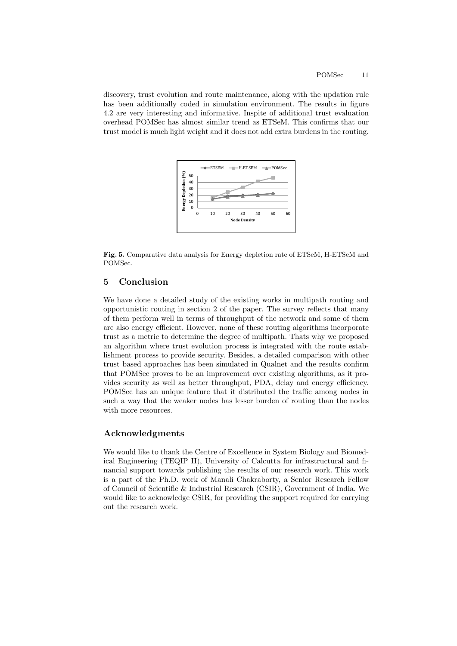discovery, trust evolution and route maintenance, along with the updation rule has been additionally coded in simulation environment. The results in figure 4.2 are very interesting and informative. Inspite of additional trust evaluation overhead POMSec has almost similar trend as ETSeM. This confirms that our trust model is much light weight and it does not add extra burdens in the routing.



Fig. 5. Comparative data analysis for Energy depletion rate of ETSeM, H-ETSeM and POMSec.

# 5 Conclusion

We have done a detailed study of the existing works in multipath routing and opportunistic routing in section 2 of the paper. The survey reflects that many of them perform well in terms of throughput of the network and some of them are also energy efficient. However, none of these routing algorithms incorporate trust as a metric to determine the degree of multipath. Thats why we proposed an algorithm where trust evolution process is integrated with the route establishment process to provide security. Besides, a detailed comparison with other trust based approaches has been simulated in Qualnet and the results confirm that POMSec proves to be an improvement over existing algorithms, as it provides security as well as better throughput, PDA, delay and energy efficiency. POMSec has an unique feature that it distributed the traffic among nodes in such a way that the weaker nodes has lesser burden of routing than the nodes with more resources.

### Acknowledgments

We would like to thank the Centre of Excellence in System Biology and Biomedical Engineering (TEQIP II), University of Calcutta for infrastructural and financial support towards publishing the results of our research work. This work is a part of the Ph.D. work of Manali Chakraborty, a Senior Research Fellow of Council of Scientific & Industrial Research (CSIR), Government of India. We would like to acknowledge CSIR, for providing the support required for carrying out the research work.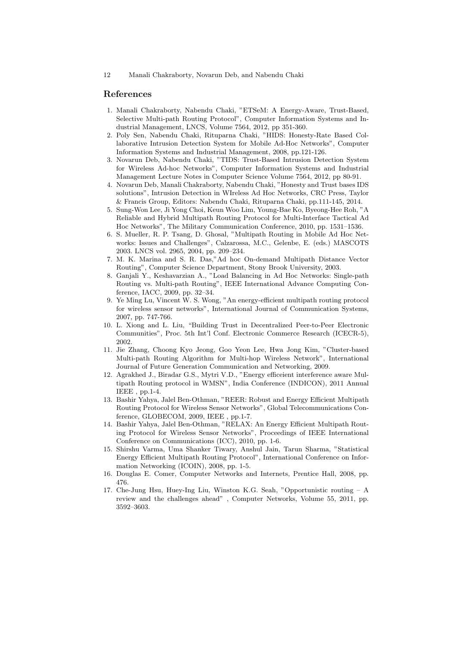12 Manali Chakraborty, Novarun Deb, and Nabendu Chaki

#### References

- 1. Manali Chakraborty, Nabendu Chaki, "ETSeM: A Energy-Aware, Trust-Based, Selective Multi-path Routing Protocol", Computer Information Systems and Industrial Management, LNCS, Volume 7564, 2012, pp 351-360.
- 2. Poly Sen, Nabendu Chaki, Rituparna Chaki, "HIDS: Honesty-Rate Based Collaborative Intrusion Detection System for Mobile Ad-Hoc Networks", Computer Information Systems and Industrial Management, 2008, pp.121-126.
- 3. Novarun Deb, Nabendu Chaki, "TIDS: Trust-Based Intrusion Detection System for Wireless Ad-hoc Networks", Computer Information Systems and Industrial Management Lecture Notes in Computer Science Volume 7564, 2012, pp 80-91.
- 4. Novarun Deb, Manali Chakraborty, Nabendu Chaki, "Honesty and Trust bases IDS solutions", Intrusion Detection in WIreless Ad Hoc Networks, CRC Press, Taylor & Francis Group, Editors: Nabendu Chaki, Rituparna Chaki, pp.111-145, 2014.
- 5. Sung-Won Lee, Ji Yong Choi, Keun Woo Lim, Young-Bae Ko, Byeong-Hee Roh, "A Reliable and Hybrid Multipath Routing Protocol for Multi-Interface Tactical Ad Hoc Networks", The Military Communication Conference, 2010, pp. 1531–1536.
- 6. S. Mueller, R. P. Tsang, D. Ghosal, "Multipath Routing in Mobile Ad Hoc Networks: Issues and Challenges", Calzarossa, M.C., Gelenbe, E. (eds.) MASCOTS 2003. LNCS vol. 2965, 2004, pp. 209–234.
- 7. M. K. Marina and S. R. Das,"Ad hoc On-demand Multipath Distance Vector Routing", Computer Science Department, Stony Brook University, 2003.
- 8. Ganjali Y., Keshavarzian A., "Load Balancing in Ad Hoc Networks: Single-path Routing vs. Multi-path Routing", IEEE International Advance Computing Conference, IACC, 2009, pp. 32–34.
- 9. Ye Ming Lu, Vincent W. S. Wong, "An energy-efficient multipath routing protocol for wireless sensor networks", International Journal of Communication Systems, 2007, pp. 747-766.
- 10. L. Xiong and L. Liu, "Building Trust in Decentralized Peer-to-Peer Electronic Communities", Proc. 5th Int'l Conf. Electronic Commerce Research (ICECR-5), 2002.
- 11. Jie Zhang, Choong Kyo Jeong, Goo Yeon Lee, Hwa Jong Kim, "Cluster-based Multi-path Routing Algorithm for Multi-hop Wireless Network", International Journal of Future Generation Communication and Networking, 2009.
- 12. Agrakhed J., Biradar G.S., Mytri V.D., "Energy efficeient interference aware Multipath Routing protocol in WMSN", India Conference (INDICON), 2011 Annual IEEE , pp.1-4.
- 13. Bashir Yahya, Jalel Ben-Othman, "REER: Robust and Energy Efficient Multipath Routing Protocol for Wireless Sensor Networks", Global Telecommunications Conference, GLOBECOM, 2009, IEEE , pp.1-7.
- 14. Bashir Yahya, Jalel Ben-Othman, "RELAX: An Energy Efficient Multipath Routing Protocol for Wireless Sensor Networks", Proceedings of IEEE International Conference on Communications (ICC), 2010, pp. 1-6.
- 15. Shirshu Varma, Uma Shanker Tiwary, Anshul Jain, Tarun Sharma, "Statistical Energy Efficient Multipath Routing Protocol", International Conference on Information Networking (ICOIN), 2008, pp. 1-5.
- 16. Douglas E. Comer, Computer Networks and Internets, Prentice Hall, 2008, pp. 476.
- 17. Che-Jung Hsu, Huey-Ing Liu, Winston K.G. Seah, "Opportunistic routing A review and the challenges ahead" , Computer Networks, Volume 55, 2011, pp. 3592–3603.